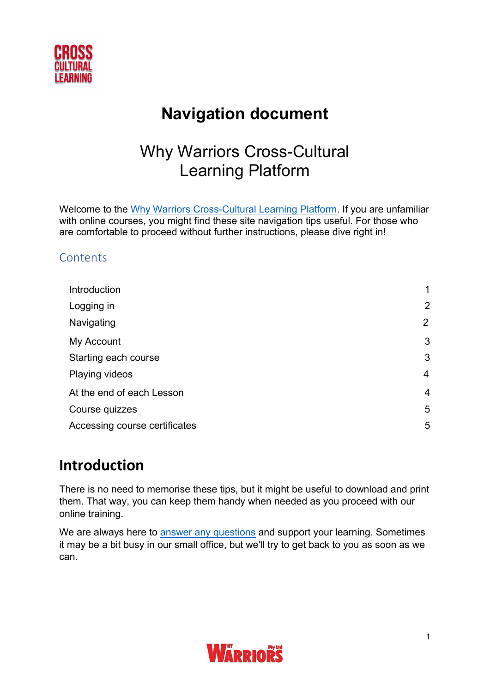

# **Navigation document**

# Why Warriors Cross-Cultural Learning Platform

Welcome to the Why Warriors [Cross-Cultural Learning Platform.](https://learn.whywarriors.com.au/) If you are unfamiliar with online courses, you might find these site navigation tips useful. For those who are comfortable to proceed without further instructions, please dive right in!

### **Contents**

| Introduction                  | 1              |
|-------------------------------|----------------|
| Logging in                    | 2              |
| Navigating                    | $\overline{2}$ |
| My Account                    | 3              |
| Starting each course          | 3              |
| <b>Playing videos</b>         | $\overline{4}$ |
| At the end of each Lesson     | $\overline{4}$ |
| Course quizzes                | 5              |
| Accessing course certificates | 5              |

## <span id="page-0-0"></span>**Introduction**

There is no need to memorise these tips, but it might be useful to download and print them. That way, you can keep them handy when needed as you proceed with our online training.

We are always here to answer any [questions](https://learn.whywarriors.com.au/contact/) and support your learning. Sometimes it may be a bit busy in our small office, but we'll try to get back to you as soon as we can.

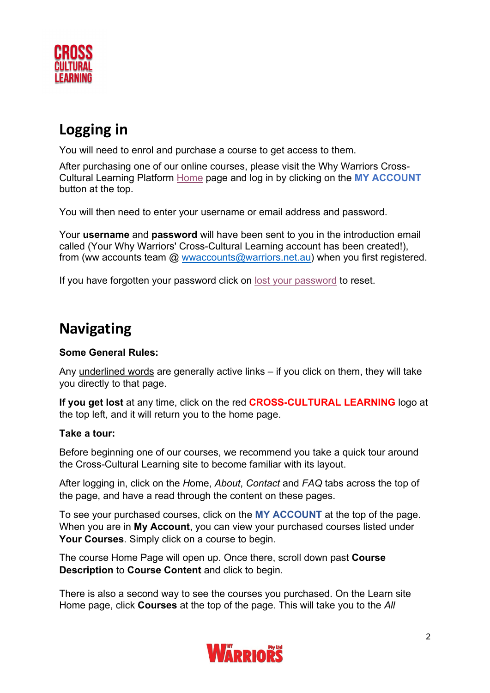

# <span id="page-1-0"></span>**Logging in**

You will need to enrol and purchase a course to get access to them.

After purchasing one of our online courses, please visit the Why Warriors Cross-Cultural Learning Platform [Home](https://learn.whywarriors.com.au/) page and log in by clicking on the **MY ACCOUNT** button at the top.

You will then need to enter your username or email address and password.

Your **username** and **password** will have been sent to you in the introduction email called (Your Why Warriors' Cross-Cultural Learning account has been created!), from (ww accounts team  $\omega$  wwaccounts $\omega$ warriors.net.au) when you first registered.

If you have forgotten your password click on [lost your password](https://learn.whywarriors.com.au/my-account/lost-password/) to reset.

## **Navigating**

### **Some General Rules:**

Any underlined words are generally active links – if you click on them, they will take you directly to that page.

**If you get lost** at any time, click on the red **CROSS-CULTURAL LEARNING** logo at the top left, and it will return you to the home page.

### **Take a tour:**

Before beginning one of our courses, we recommend you take a quick tour around the Cross-Cultural Learning site to become familiar with its layout.

After logging in, click on the *H*ome, *About*, *Contact* and *FAQ* tabs across the top of the page, and have a read through the content on these pages.

To see your purchased courses, click on the **MY ACCOUNT** at the top of the page. When you are in **My Account**, you can view your purchased courses listed under **Your Courses**. Simply click on a course to begin.

The course Home Page will open up. Once there, scroll down past **Course Description** to **Course Content** and click to begin.

There is also a second way to see the courses you purchased. On the Learn site Home page, click **Courses** at the top of the page. This will take you to the *All* 

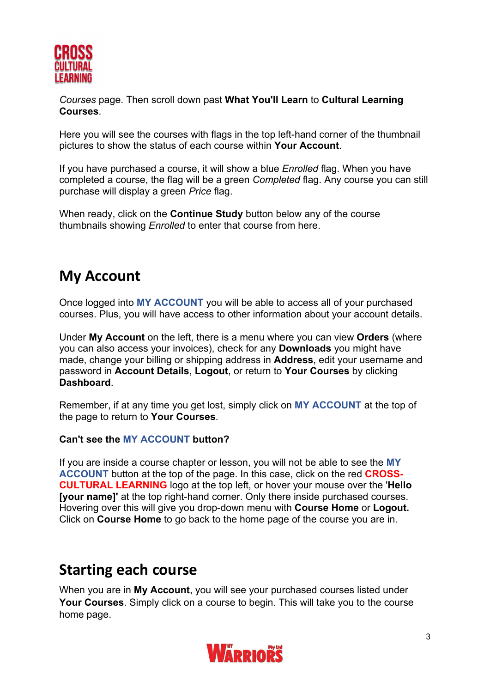

*Courses* page. Then scroll down past **What You'll Learn** to **Cultural Learning Courses**.

Here you will see the courses with flags in the top left-hand corner of the thumbnail pictures to show the status of each course within **Your Account**.

If you have purchased a course, it will show a blue *Enrolled* flag. When you have completed a course, the flag will be a green *Completed* flag. Any course you can still purchase will display a green *Price* flag.

When ready, click on the **Continue Study** button below any of the course thumbnails showing *Enrolled* to enter that course from here.

## <span id="page-2-0"></span>**My Account**

Once logged into **MY ACCOUNT** you will be able to access all of your purchased courses. Plus, you will have access to other information about your account details.

Under **My Account** on the left, there is a menu where you can view **Orders** (where you can also access your invoices), check for any **Downloads** you might have made, change your billing or shipping address in **Address**, edit your username and password in **Account Details**, **Logout**, or return to **Your Courses** by clicking **Dashboard**.

Remember, if at any time you get lost, simply click on **MY ACCOUNT** at the top of the page to return to **Your Courses**.

#### **Can't see the MY ACCOUNT button?**

If you are inside a course chapter or lesson, you will not be able to see the **MY ACCOUNT** button at the top of the page. In this case, click on the red **CROSS-CULTURAL LEARNING** logo at the top left, or hover your mouse over the '**Hello [your name]'** at the top right-hand corner. Only there inside purchased courses. Hovering over this will give you drop-down menu with **Course Home** or **Logout.**  Click on **Course Home** to go back to the home page of the course you are in.

### <span id="page-2-1"></span>**Starting each course**

When you are in **My Account**, you will see your purchased courses listed under **Your Courses**. Simply click on a course to begin. This will take you to the course home page.

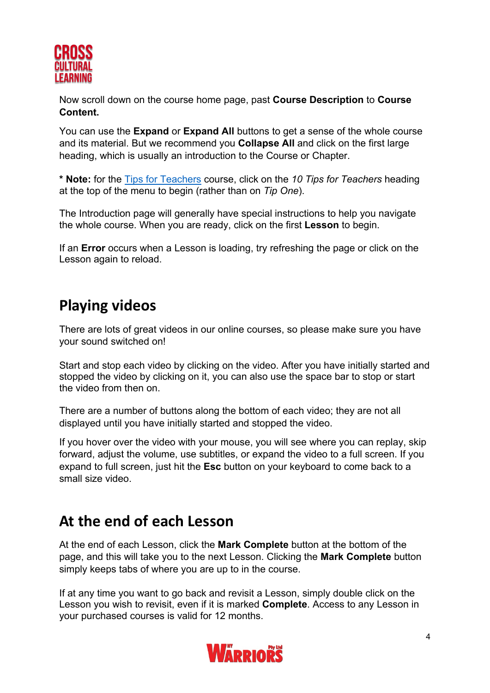

Now scroll down on the course home page, past **Course Description** to **Course Content.** 

You can use the **Expand** or **Expand All** buttons to get a sense of the whole course and its material. But we recommend you **Collapse All** and click on the first large heading, which is usually an introduction to the Course or Chapter.

**\* Note:** for the [Tips for Teachers](https://learn.whywarriors.com.au/courses/tips-for-teachers/) course, click on the *10 Tips for Teachers* heading at the top of the menu to begin (rather than on *Tip One*).

The Introduction page will generally have special instructions to help you navigate the whole course. When you are ready, click on the first **Lesson** to begin.

If an **Error** occurs when a Lesson is loading, try refreshing the page or click on the Lesson again to reload.

## **Playing videos**

There are lots of great videos in our online courses, so please make sure you have your sound switched on!

Start and stop each video by clicking on the video. After you have initially started and stopped the video by clicking on it, you can also use the space bar to stop or start the video from then on.

There are a number of buttons along the bottom of each video; they are not all displayed until you have initially started and stopped the video.

If you hover over the video with your mouse, you will see where you can replay, skip forward, adjust the volume, use subtitles, or expand the video to a full screen. If you expand to full screen, just hit the **Esc** button on your keyboard to come back to a small size video.

### <span id="page-3-0"></span>**At the end of each Lesson**

At the end of each Lesson, click the **Mark Complete** button at the bottom of the page, and this will take you to the next Lesson. Clicking the **Mark Complete** button simply keeps tabs of where you are up to in the course.

If at any time you want to go back and revisit a Lesson, simply double click on the Lesson you wish to revisit, even if it is marked **Complete**. Access to any Lesson in your purchased courses is valid for 12 months.

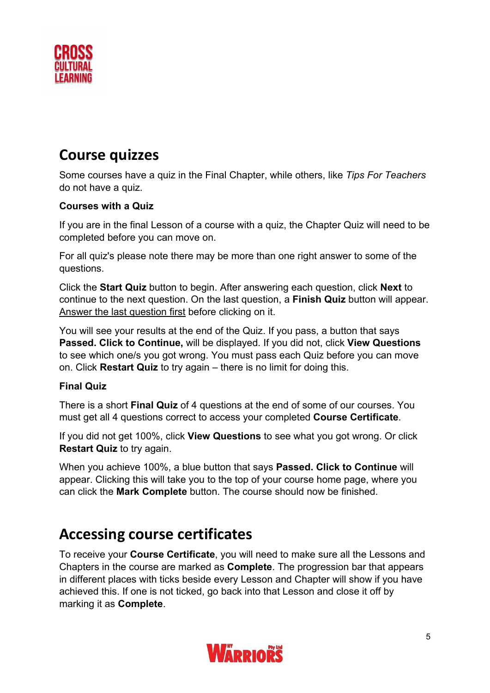

## <span id="page-4-0"></span>**Course quizzes**

Some courses have a quiz in the Final Chapter, while others, like *Tips For Teachers* do not have a quiz.

### **Courses with a Quiz**

If you are in the final Lesson of a course with a quiz, the Chapter Quiz will need to be completed before you can move on.

For all quiz's please note there may be more than one right answer to some of the questions.

Click the **Start Quiz** button to begin. After answering each question, click **Next** to continue to the next question. On the last question, a **Finish Quiz** button will appear. Answer the last question first before clicking on it.

You will see your results at the end of the Quiz. If you pass, a button that says **Passed. Click to Continue,** will be displayed. If you did not, click **View Questions** to see which one/s you got wrong. You must pass each Quiz before you can move on. Click **Restart Quiz** to try again – there is no limit for doing this.

### **Final Quiz**

There is a short **Final Quiz** of 4 questions at the end of some of our courses. You must get all 4 questions correct to access your completed **Course Certificate**.

If you did not get 100%, click **View Questions** to see what you got wrong. Or click **Restart Quiz** to try again.

When you achieve 100%, a blue button that says **Passed. Click to Continue** will appear. Clicking this will take you to the top of your course home page, where you can click the **Mark Complete** button. The course should now be finished.

## <span id="page-4-1"></span>**Accessing course certificates**

To receive your **Course Certificate**, you will need to make sure all the Lessons and Chapters in the course are marked as **Complete**. The progression bar that appears in different places with ticks beside every Lesson and Chapter will show if you have achieved this. If one is not ticked, go back into that Lesson and close it off by marking it as **Complete**.